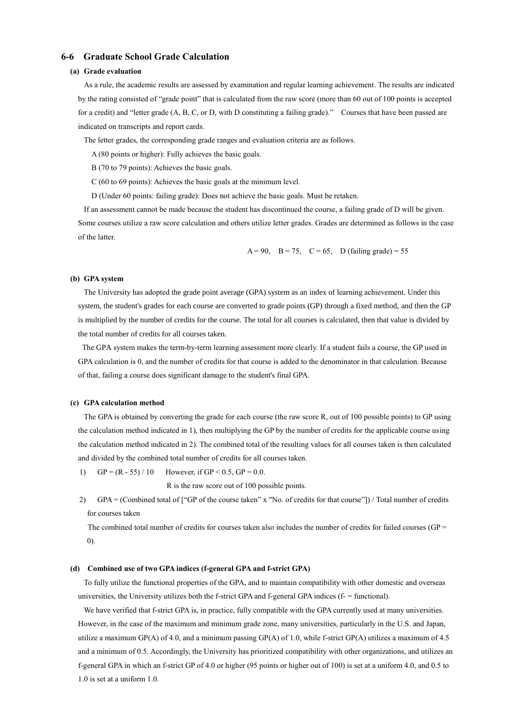# **6-6 Graduate School Grade Calculation**

## **(a) Grade evaluation**

As a rule, the academic results are assessed by examination and regular learning achievement. The results are indicated by the rating consisted of "grade point" that is calculated from the raw score (more than 60 out of 100 points is accepted for a credit) and "letter grade (A, B, C, or D, with D constituting a failing grade)." Courses that have been passed are indicated on transcripts and report cards.

The letter grades, the corresponding grade ranges and evaluation criteria are as follows.

A (80 points or higher): Fully achieves the basic goals.

- B (70 to 79 points): Achieves the basic goals.
- C (60 to 69 points): Achieves the basic goals at the minimum level.
- D (Under 60 points: failing grade): Does not achieve the basic goals. Must be retaken.

If an assessment cannot be made because the student has discontinued the course, a failing grade of D will be given. Some courses utilize a raw score calculation and others utilize letter grades. Grades are determined as follows in the case of the latter.

A = 90, B = 75, C = 65, D (failing grade) = 55

### **(b) GPA system**

The University has adopted the grade point average (GPA) system as an index of learning achievement. Under this system, the student's grades for each course are converted to grade points (GP) through a fixed method, and then the GP is multiplied by the number of credits for the course. The total for all courses is calculated, then that value is divided by the total number of credits for all courses taken.

 The GPA system makes the term-by-term learning assessment more clearly. If a student fails a course, the GP used in GPA calculation is 0, and the number of credits for that course is added to the denominator in that calculation. Because of that, failing a course does significant damage to the student's final GPA.

### **(c) GPA calculation method**

The GPA is obtained by converting the grade for each course (the raw score R, out of 100 possible points) to GP using the calculation method indicated in 1), then multiplying the GP by the number of credits for the applicable course using the calculation method indicated in 2). The combined total of the resulting values for all courses taken is then calculated and divided by the combined total number of credits for all courses taken.

1) GP =  $(R - 55) / 10$  However, if GP < 0.5, GP = 0.0.

R is the raw score out of 100 possible points.

2) GPA = (Combined total of ["GP of the course taken" x "No. of credits for that course"]) / Total number of credits for courses taken

The combined total number of credits for courses taken also includes the number of credits for failed courses (GP = 0).

#### **(d) Combined use of two GPA indices (f-general GPA and f-strict GPA)**

To fully utilize the functional properties of the GPA, and to maintain compatibility with other domestic and overseas universities, the University utilizes both the f-strict GPA and f-general GPA indices (f- = functional).

We have verified that f-strict GPA is, in practice, fully compatible with the GPA currently used at many universities. However, in the case of the maximum and minimum grade zone, many universities, particularly in the U.S. and Japan, utilize a maximum GP(A) of 4.0, and a minimum passing GP(A) of 1.0, while f-strict GP(A) utilizes a maximum of 4.5 and a minimum of 0.5. Accordingly, the University has prioritized compatibility with other organizations, and utilizes an f-general GPA in which an f-strict GP of 4.0 or higher (95 points or higher out of 100) is set at a uniform 4.0, and 0.5 to 1.0 is set at a uniform 1.0.